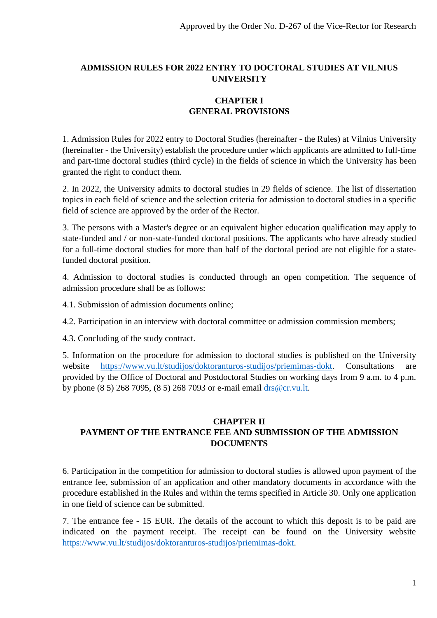### **ADMISSION RULES FOR 2022 ENTRY TO DOCTORAL STUDIES AT VILNIUS UNIVERSITY**

# **CHAPTER I GENERAL PROVISIONS**

1. Admission Rules for 2022 entry to Doctoral Studies (hereinafter - the Rules) at Vilnius University (hereinafter - the University) establish the procedure under which applicants are admitted to full-time and part-time doctoral studies (third cycle) in the fields of science in which the University has been granted the right to conduct them.

2. In 2022, the University admits to doctoral studies in 29 fields of science. The list of dissertation topics in each field of science and the selection criteria for admission to doctoral studies in a specific field of science are approved by the order of the Rector.

3. The persons with a Master's degree or an equivalent higher education qualification may apply to state-funded and / or non-state-funded doctoral positions. The applicants who have already studied for a full-time doctoral studies for more than half of the doctoral period are not eligible for a statefunded doctoral position.

4. Admission to doctoral studies is conducted through an open competition. The sequence of admission procedure shall be as follows:

4.1. Submission of admission documents online;

4.2. Participation in an interview with doctoral committee or admission commission members;

4.3. Concluding of the study contract.

5. Information on the procedure for admission to doctoral studies is published on the University website [https://www.vu.lt/studijos/doktoranturos-studijos/priemimas-dokt.](https://www.vu.lt/studijos/doktoranturos-studijos/priemimas-dokt) Consultations are provided by the Office of Doctoral and Postdoctoral Studies on working days from 9 a.m. to 4 p.m. by phone (8 5) 268 7095, (8 5) 268 7093 or e-mail email [drs@cr.vu.lt.](mailto:drs@cr.vu.lt)

## **CHAPTER II PAYMENT OF THE ENTRANCE FEE AND SUBMISSION OF THE ADMISSION DOCUMENTS**

6. Participation in the competition for admission to doctoral studies is allowed upon payment of the entrance fee, submission of an application and other mandatory documents in accordance with the procedure established in the Rules and within the terms specified in Article 30. Only one application in one field of science can be submitted.

7. The entrance fee - 15 EUR. The details of the account to which this deposit is to be paid are indicated on the payment receipt. The receipt can be found on the University website [https://www.vu.lt/studijos/doktoranturos-studijos/priemimas-dokt.](https://www.vu.lt/studijos/doktoranturos-studijos/priemimas-dokt)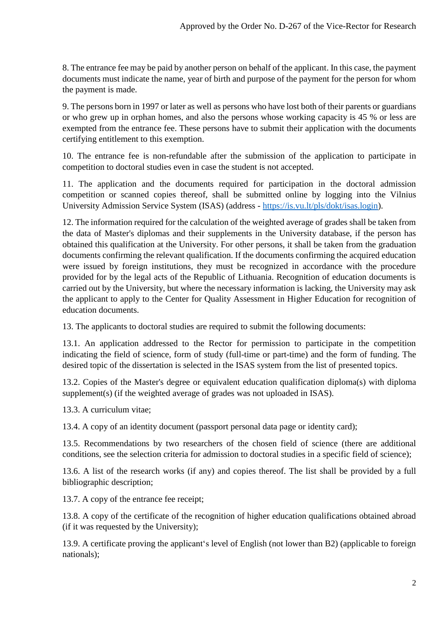8. The entrance fee may be paid by another person on behalf of the applicant. In this case, the payment documents must indicate the name, year of birth and purpose of the payment for the person for whom the payment is made.

9. The persons born in 1997 or later as well as persons who have lost both of their parents or guardians or who grew up in orphan homes, and also the persons whose working capacity is 45 % or less are exempted from the entrance fee. These persons have to submit their application with the documents certifying entitlement to this exemption.

10. The entrance fee is non-refundable after the submission of the application to participate in competition to doctoral studies even in case the student is not accepted.

11. The application and the documents required for participation in the doctoral admission competition or scanned copies thereof, shall be submitted online by logging into the Vilnius University Admission Service System (ISAS) (address - [https://is.vu.lt/pls/dokt/isas.login\)](https://is.vu.lt/pls/dokt/isas.login).

12. The information required for the calculation of the weighted average of grades shall be taken from the data of Master's diplomas and their supplements in the University database, if the person has obtained this qualification at the University. For other persons, it shall be taken from the graduation documents confirming the relevant qualification. If the documents confirming the acquired education were issued by foreign institutions, they must be recognized in accordance with the procedure provided for by the legal acts of the Republic of Lithuania. Recognition of education documents is carried out by the University, but where the necessary information is lacking, the University may ask the applicant to apply to the Center for Quality Assessment in Higher Education for recognition of education documents.

13. The applicants to doctoral studies are required to submit the following documents:

13.1. An application addressed to the Rector for permission to participate in the competition indicating the field of science, form of study (full-time or part-time) and the form of funding. The desired topic of the dissertation is selected in the ISAS system from the list of presented topics.

13.2. Copies of the Master's degree or equivalent education qualification diploma(s) with diploma supplement(s) (if the weighted average of grades was not uploaded in ISAS).

13.3. A curriculum vitae;

13.4. A copy of an identity document (passport personal data page or identity card);

13.5. Recommendations by two researchers of the chosen field of science (there are additional conditions, see the selection criteria for admission to doctoral studies in a specific field of science);

13.6. A list of the research works (if any) and copies thereof. The list shall be provided by a full bibliographic description;

13.7. A copy of the entrance fee receipt;

13.8. A copy of the certificate of the recognition of higher education qualifications obtained abroad (if it was requested by the University);

13.9. A certificate proving the applicant's level of English (not lower than B2) (applicable to foreign nationals);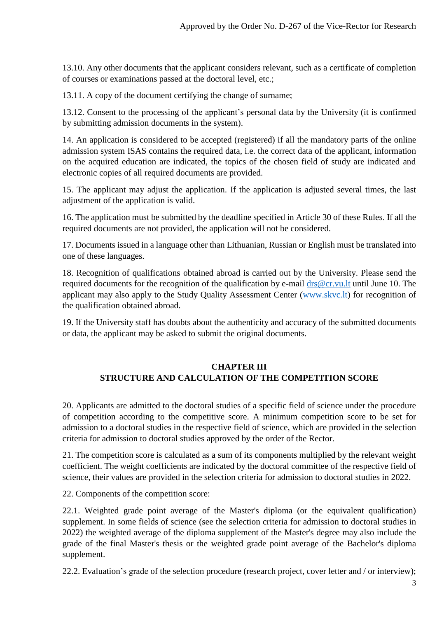13.10. Any other documents that the applicant considers relevant, such as a certificate of completion of courses or examinations passed at the doctoral level, etc.;

13.11. A copy of the document certifying the change of surname;

13.12. Consent to the processing of the applicant's personal data by the University (it is confirmed by submitting admission documents in the system).

14. An application is considered to be accepted (registered) if all the mandatory parts of the online admission system ISAS contains the required data, i.e. the correct data of the applicant, information on the acquired education are indicated, the topics of the chosen field of study are indicated and electronic copies of all required documents are provided.

15. The applicant may adjust the application. If the application is adjusted several times, the last adjustment of the application is valid.

16. The application must be submitted by the deadline specified in Article 30 of these Rules. If all the required documents are not provided, the application will not be considered.

17. Documents issued in a language other than Lithuanian, Russian or English must be translated into one of these languages.

18. Recognition of qualifications obtained abroad is carried out by the University. Please send the required documents for the recognition of the qualification by e-mail [drs@cr.vu.lt](mailto:drs@cr.vu.lt) until June 10. The applicant may also apply to the Study Quality Assessment Center [\(www.skvc.lt\)](http://www.skvc.lt/) for recognition of the qualification obtained abroad.

19. If the University staff has doubts about the authenticity and accuracy of the submitted documents or data, the applicant may be asked to submit the original documents.

### **CHAPTER III STRUCTURE AND CALCULATION OF THE COMPETITION SCORE**

20. Applicants are admitted to the doctoral studies of a specific field of science under the procedure of competition according to the competitive score. A minimum competition score to be set for admission to a doctoral studies in the respective field of science, which are provided in the selection criteria for admission to doctoral studies approved by the order of the Rector.

21. The competition score is calculated as a sum of its components multiplied by the relevant weight coefficient. The weight coefficients are indicated by the doctoral committee of the respective field of science, their values are provided in the selection criteria for admission to doctoral studies in 2022.

22. Components of the competition score:

22.1. Weighted grade point average of the Master's diploma (or the equivalent qualification) supplement. In some fields of science (see the selection criteria for admission to doctoral studies in 2022) the weighted average of the diploma supplement of the Master's degree may also include the grade of the final Master's thesis or the weighted grade point average of the Bachelor's diploma supplement.

22.2. Evaluation's grade of the selection procedure (research project, cover letter and / or interview);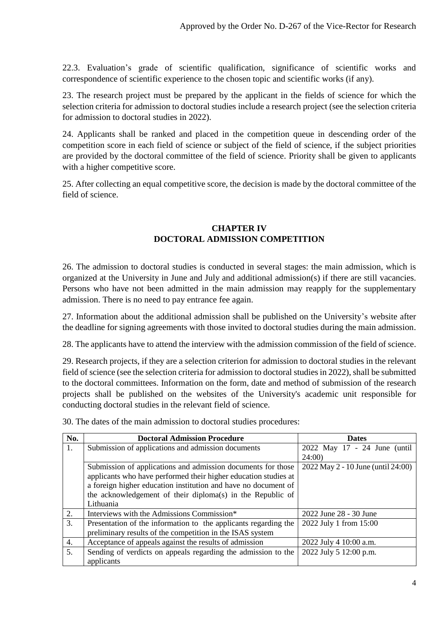22.3. Evaluation's grade of scientific qualification, significance of scientific works and correspondence of scientific experience to the chosen topic and scientific works (if any).

23. The research project must be prepared by the applicant in the fields of science for which the selection criteria for admission to doctoral studies include a research project (see the selection criteria for admission to doctoral studies in 2022).

24. Applicants shall be ranked and placed in the competition queue in descending order of the competition score in each field of science or subject of the field of science, if the subject priorities are provided by the doctoral committee of the field of science. Priority shall be given to applicants with a higher competitive score.

25. After collecting an equal competitive score, the decision is made by the doctoral committee of the field of science.

### **CHAPTER IV DOCTORAL ADMISSION COMPETITION**

26. The admission to doctoral studies is conducted in several stages: the main admission, which is organized at the University in June and July and additional admission(s) if there are still vacancies. Persons who have not been admitted in the main admission may reapply for the supplementary admission. There is no need to pay entrance fee again.

27. Information about the additional admission shall be published on the University's website after the deadline for signing agreements with those invited to doctoral studies during the main admission.

28. The applicants have to attend the interview with the admission commission of the field of science.

29. Research projects, if they are a selection criterion for admission to doctoral studies in the relevant field of science (see the selection criteria for admission to doctoral studies in 2022), shall be submitted to the doctoral committees. Information on the form, date and method of submission of the research projects shall be published on the websites of the University's academic unit responsible for conducting doctoral studies in the relevant field of science.

30. The dates of the main admission to doctoral studies procedures:

| No.              | <b>Doctoral Admission Procedure</b>                             | <b>Dates</b>                       |
|------------------|-----------------------------------------------------------------|------------------------------------|
| 1.               | Submission of applications and admission documents              | 2022 May 17 - 24 June (until       |
|                  |                                                                 | 24:00                              |
|                  | Submission of applications and admission documents for those    | 2022 May 2 - 10 June (until 24:00) |
|                  | applicants who have performed their higher education studies at |                                    |
|                  | a foreign higher education institution and have no document of  |                                    |
|                  | the acknowledgement of their diploma(s) in the Republic of      |                                    |
|                  | Lithuania                                                       |                                    |
| 2.               | Interviews with the Admissions Commission*                      | 2022 June 28 - 30 June             |
| 3.               | Presentation of the information to the applicants regarding the | 2022 July 1 from 15:00             |
|                  | preliminary results of the competition in the ISAS system       |                                    |
| $\overline{4}$ . | Acceptance of appeals against the results of admission          | 2022 July 4 10:00 a.m.             |
| 5.               | Sending of verdicts on appeals regarding the admission to the   | 2022 July 5 12:00 p.m.             |
|                  | applicants                                                      |                                    |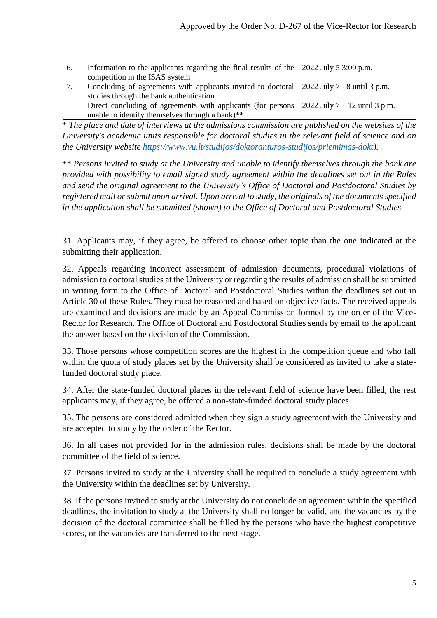| -6. | Information to the applicants regarding the final results of the $\vert$ 2022 July 5 3:00 p.m. |                                 |
|-----|------------------------------------------------------------------------------------------------|---------------------------------|
|     | competition in the ISAS system                                                                 |                                 |
|     | Concluding of agreements with applicants invited to doctoral   2022 July 7 - 8 until 3 p.m.    |                                 |
|     | studies through the bank authentication                                                        |                                 |
|     | Direct concluding of agreements with applicants (for persons)                                  | 2022 July $7 - 12$ until 3 p.m. |
|     | unable to identify themselves through a bank)**                                                |                                 |

\* *The place and date of interviews at the admissions commission are published on the websites of the University's academic units responsible for doctoral studies in the relevant field of science and on the University website [https://www.vu.lt/studijos/doktoranturos-studijos/priemimas-dokt\)](https://www.vu.lt/studijos/doktoranturos-studijos/priemimas-dokt).*

\*\* *Persons invited to study at the University and unable to identify themselves through the bank are provided with possibility to email signed study agreement within the deadlines set out in the Rules and send the original agreement to the University's Office of Doctoral and Postdoctoral Studies by registered mail or submit upon arrival. Upon arrival to study, the originals of the documents specified in the application shall be submitted (shown) to the Office of Doctoral and Postdoctoral Studies.*

31. Applicants may, if they agree, be offered to choose other topic than the one indicated at the submitting their application.

32. Appeals regarding incorrect assessment of admission documents, procedural violations of admission to doctoral studies at the University or regarding the results of admission shall be submitted in writing form to the Office of Doctoral and Postdoctoral Studies within the deadlines set out in Article 30 of these Rules. They must be reasoned and based on objective facts. The received appeals are examined and decisions are made by an Appeal Commission formed by the order of the Vice-Rector for Research. The Office of Doctoral and Postdoctoral Studies sends by email to the applicant the answer based on the decision of the Commission.

33. Those persons whose competition scores are the highest in the competition queue and who fall within the quota of study places set by the University shall be considered as invited to take a statefunded doctoral study place.

34. After the state-funded doctoral places in the relevant field of science have been filled, the rest applicants may, if they agree, be offered a non-state-funded doctoral study places.

35. The persons are considered admitted when they sign a study agreement with the University and are accepted to study by the order of the Rector.

36. In all cases not provided for in the admission rules, decisions shall be made by the doctoral committee of the field of science.

37. Persons invited to study at the University shall be required to conclude a study agreement with the University within the deadlines set by University.

38. If the persons invited to study at the University do not conclude an agreement within the specified deadlines, the invitation to study at the University shall no longer be valid, and the vacancies by the decision of the doctoral committee shall be filled by the persons who have the highest competitive scores, or the vacancies are transferred to the next stage.